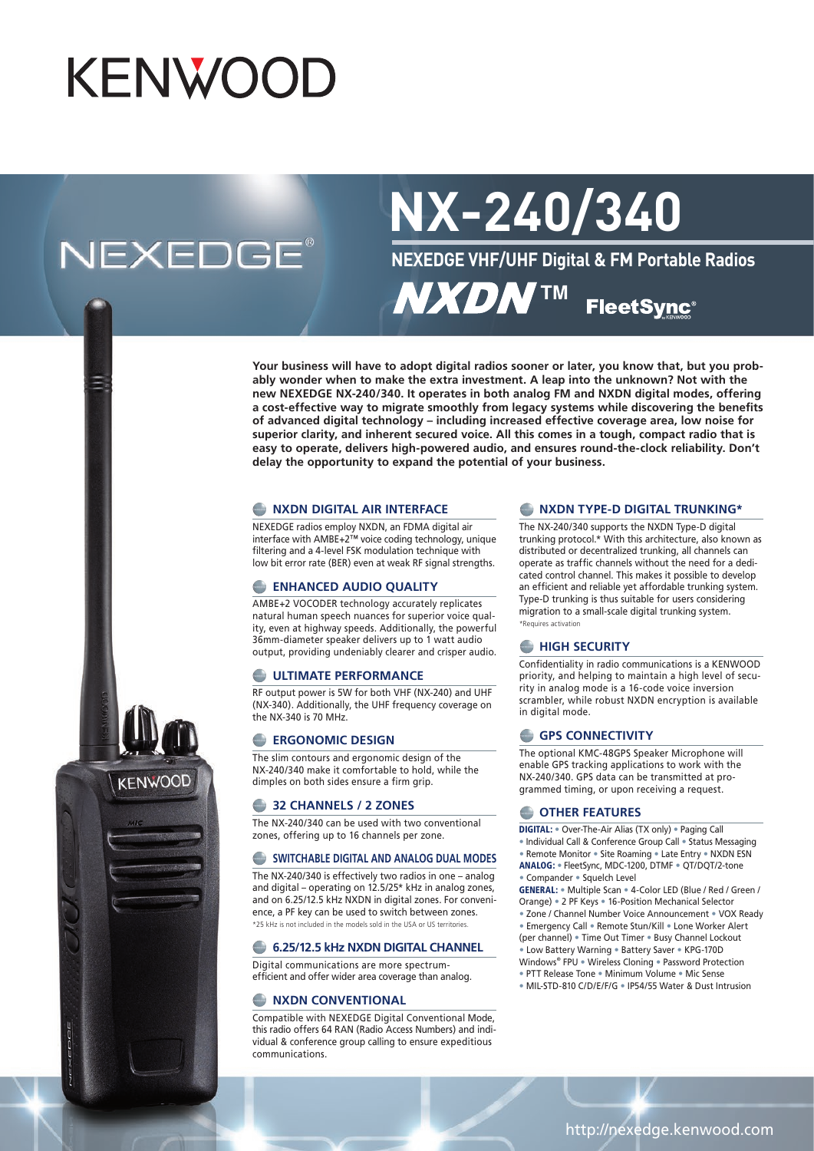# KENWOOD

# **NEXEDGE®**

**KENWOOD** 

# **NX-240/340**

**NEXEDGE VHF/UHF Digital & FM Portable Radios**

**NXDNTM FleetSync®** 

**Your business will have to adopt digital radios sooner or later, you know that, but you probably wonder when to make the extra investment. A leap into the unknown? Not with the new NEXEDGE NX-240/340. It operates in both analog FM and NXDN digital modes, offering a cost-effective way to migrate smoothly from legacy systems while discovering the benefits of advanced digital technology – including increased effective coverage area, low noise for superior clarity, and inherent secured voice. All this comes in a tough, compact radio that is easy to operate, delivers high-powered audio, and ensures round-the-clock reliability. Don't delay the opportunity to expand the potential of your business.**

#### **NXDN DIGITAL AIR INTERFACE**

NEXEDGE radios employ NXDN, an FDMA digital air interface with AMBE+2™ voice coding technology, unique filtering and a 4-level FSK modulation technique with low bit error rate (BER) even at weak RF signal strengths.

#### **ENHANCED AUDIO QUALITY**

AMBE+2 VOCODER technology accurately replicates natural human speech nuances for superior voice quality, even at highway speeds. Additionally, the powerful 36mm-diameter speaker delivers up to 1 watt audio output, providing undeniably clearer and crisper audio.

#### **E** ULTIMATE PERFORMANCE

RF output power is 5W for both VHF (NX-240) and UHF (NX-340). Additionally, the UHF frequency coverage on the NX-340 is 70 MHz.

#### **ERGONOMIC DESIGN**

The slim contours and ergonomic design of the NX-240/340 make it comfortable to hold, while the dimples on both sides ensure a firm grip.

#### **a** 32 CHANNELS / 2 ZONES

The NX-240/340 can be used with two conventional zones, offering up to 16 channels per zone.

#### **SWITCHABLE DIGITAL AND ANALOG DUAL MODES**

The NX-240/340 is effectively two radios in one – analog and digital – operating on 12.5/25\* kHz in analog zones, and on 6.25/12.5 kHz NXDN in digital zones. For convenience, a PF key can be used to switch between zones. \*25 kHz is not included in the models sold in the USA or US territories.

#### **6.25/12.5 kHz NXDN DIGITAL CHANNEL**

Digital communications are more spectrumefficient and offer wider area coverage than analog.

#### **NXDN CONVENTIONAL**

Compatible with NEXEDGE Digital Conventional Mode, this radio offers 64 RAN (Radio Access Numbers) and individual & conference group calling to ensure expeditious communications.

#### **NXDN TYPE-D DIGITAL TRUNKING\***

The NX-240/340 supports the NXDN Type-D digital trunking protocol.\* With this architecture, also known as distributed or decentralized trunking, all channels can operate as traffic channels without the need for a dedicated control channel. This makes it possible to develop an efficient and reliable yet affordable trunking system. Type-D trunking is thus suitable for users considering migration to a small-scale digital trunking system. \*Requires activation

#### **HIGH SECURITY**

Confidentiality in radio communications is a KENWOOD priority, and helping to maintain a high level of security in analog mode is a 16-code voice inversion scrambler, while robust NXDN encryption is available in digital mode.

#### **GPS CONNECTIVITY**

The optional KMC-48GPS Speaker Microphone will enable GPS tracking applications to work with the NX-240/340. GPS data can be transmitted at programmed timing, or upon receiving a request.

#### **COTHER FEATURES**

- DIGITAL: Over-The-Air Alias (TX only) Paging Call
- Individual Call & Conference Group Call Status Messaging
- Remote Monitor Site Roaming Late Entry NXDN ESN ANALOG: • FleetSync, MDC-1200, DTMF • QT/DQT/2-tone • Compander • Squelch Level

GENERAL: • Multiple Scan • 4-Color LED (Blue / Red / Green / Orange) • 2 PF Keys • 16-Position Mechanical Selector • Zone / Channel Number Voice Announcement • VOX Ready

- Emergency Call Remote Stun/Kill Lone Worker Alert
- (per channel) Time Out Timer Busy Channel Lockout
- Low Battery Warning Battery Saver KPG-170D Windows® FPU • Wireless Cloning • Password Protection
- PTT Release Tone Minimum Volume Mic Sense • MIL-STD-810 C/D/E/F/G • IP54/55 Water & Dust Intrusion
	-

#### http://nexedge.kenwood.com